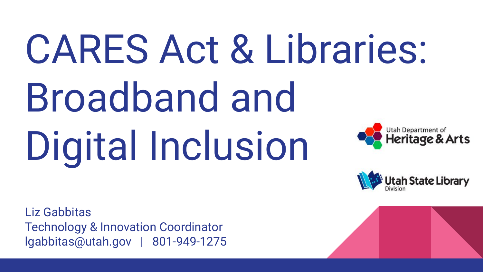### CARES Act & Libraries: Broadband and Utah Department of Digital Inclusion **Heritage & Arts**

Itah State Library

Liz Gabbitas Technology & Innovation Coordinator lgabbitas@utah.gov | 801-949-1275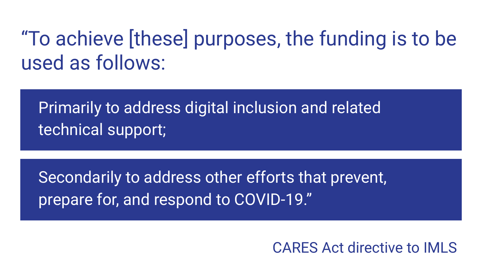### "To achieve [these] purposes, the funding is to be used as follows:

Primarily to address digital inclusion and related technical support;

Secondarily to address other efforts that prevent, prepare for, and respond to COVID-19."

CARES Act directive to IMLS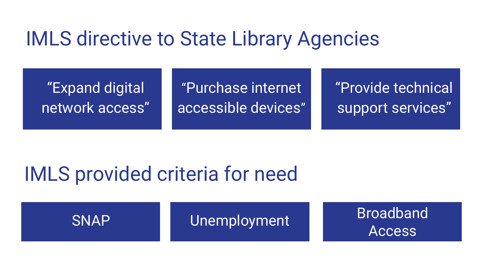### IMLS directive to State Library Agencies

"Expand digital network access"

"Purchase internet accessible devices" "Provide technical support services"

### IMLS provided criteria for need

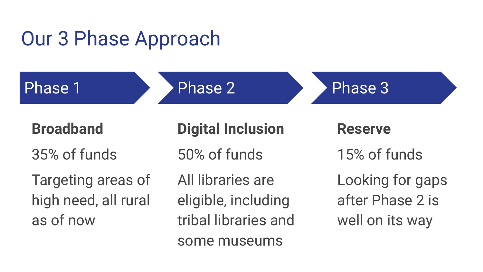### Our 3 Phase Approach

Phase 1

Phase 2

Phase 3

**Broadband**

35% of funds

Targeting areas of high need, all rural as of now

**Digital Inclusion**

50% of funds

All libraries are eligible, including tribal libraries and some museums

**Reserve** 15% of funds Looking for gaps after Phase 2 is well on its way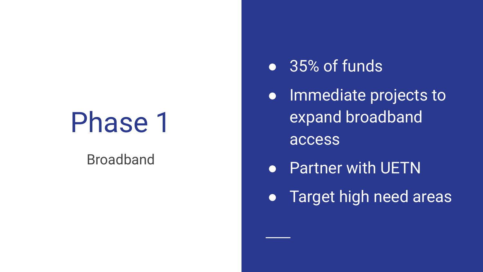### Phase 1

#### Broadband

#### ● 35% of funds

**•** Immediate projects to expand broadband access

- Partner with UETN
- **•** Target high need areas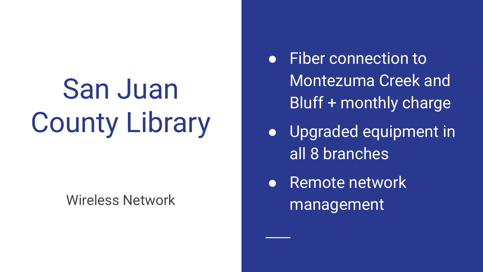# San Juan County Library

Wireless Network

- Fiber connection to Montezuma Creek and Bluff + monthly charge
- Upgraded equipment in all 8 branches
- Remote network management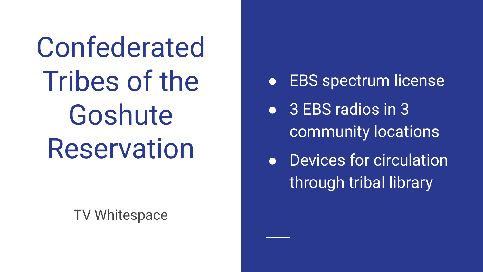Confederated Tribes of the Goshute Reservation

TV Whitespace

- EBS spectrum license
- 3 EBS radios in 3 community locations
- Devices for circulation through tribal library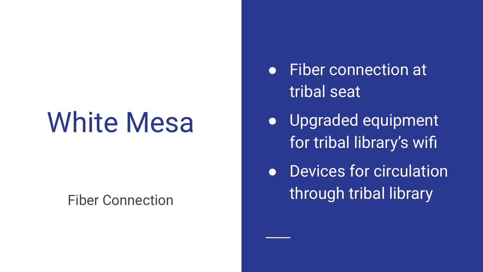# White Mesa

#### Fiber Connection

- Fiber connection at tribal seat
- Upgraded equipment for tribal library's wifi
- Devices for circulation through tribal library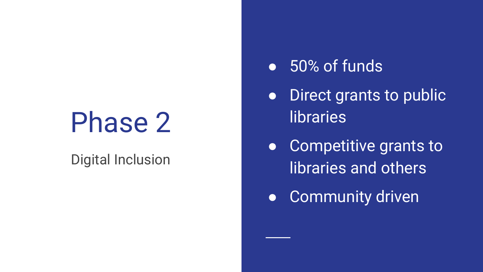## Phase 2

#### Digital Inclusion

#### ● 50% of funds

- **•** Direct grants to public **libraries**
- Competitive grants to libraries and others
- Community driven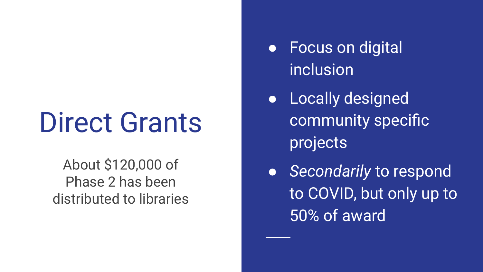# Direct Grants

About \$120,000 of Phase 2 has been distributed to libraries

- Focus on digital inclusion
- Locally designed community specific projects
- *Secondarily* to respond to COVID, but only up to 50% of award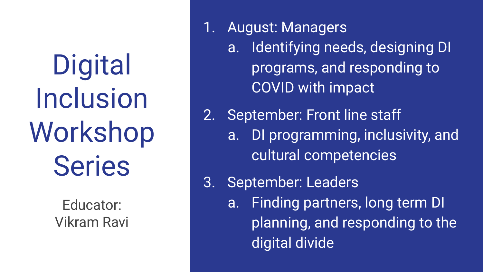**Digital** Inclusion Workshop Series

> Educator: Vikram Ravi

- 1. August: Managers
	- a. Identifying needs, designing DI programs, and responding to COVID with impact
- 2. September: Front line staff
	- a. DI programming, inclusivity, and cultural competencies
- 3. September: Leaders
	- a. Finding partners, long term DI planning, and responding to the digital divide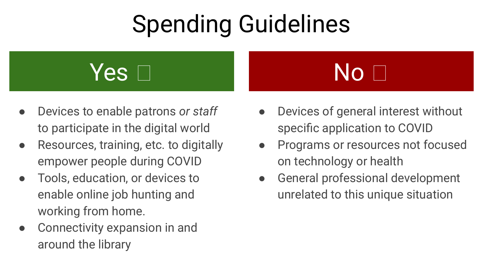### Spending Guidelines



- Devices to enable patrons *or staff*  to participate in the digital world
- Resources, training, etc. to digitally empower people during COVID
- Tools, education, or devices to enable online job hunting and working from home.
- Connectivity expansion in and around the library

### No **No**

- Devices of general interest without specific application to COVID
- Programs or resources not focused on technology or health
- General professional development unrelated to this unique situation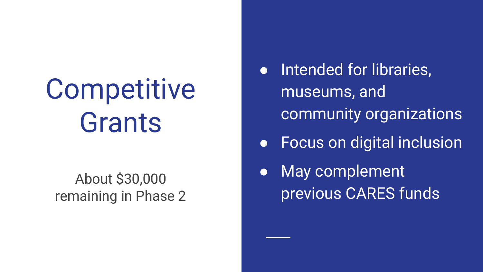# Competitive Grants

About \$30,000 remaining in Phase 2

- Intended for libraries, museums, and community organizations
- Focus on digital inclusion
- May complement previous CARES funds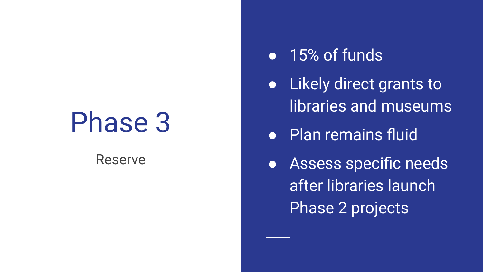### Phase 3

#### Reserve

#### ● 15% of funds

- Likely direct grants to libraries and museums
- Plan remains fluid
- Assess specific needs after libraries launch Phase 2 projects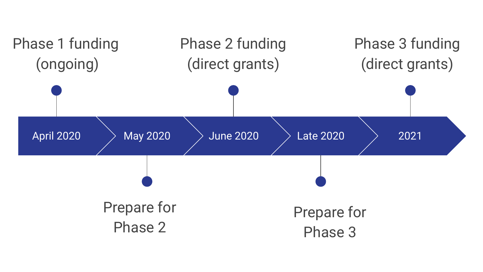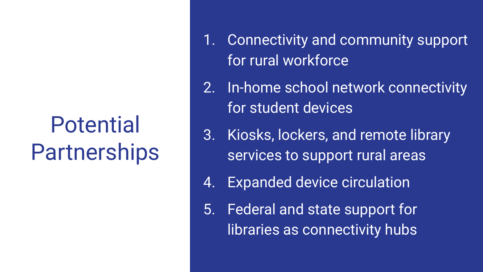### Potential Partnerships

- 1. Connectivity and community support for rural workforce
- 2. In-home school network connectivity for student devices
- 3. Kiosks, lockers, and remote library services to support rural areas
- 4. Expanded device circulation
- 5. Federal and state support for libraries as connectivity hubs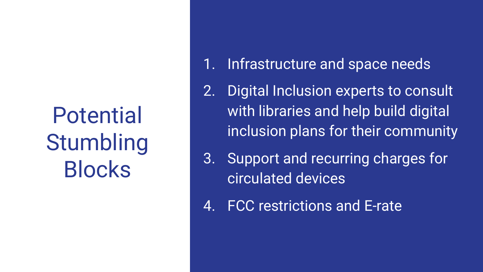### Potential **Stumbling** Blocks

- 1. Infrastructure and space needs
- 2. Digital Inclusion experts to consult with libraries and help build digital inclusion plans for their community
- 3. Support and recurring charges for circulated devices
- 4. FCC restrictions and E-rate